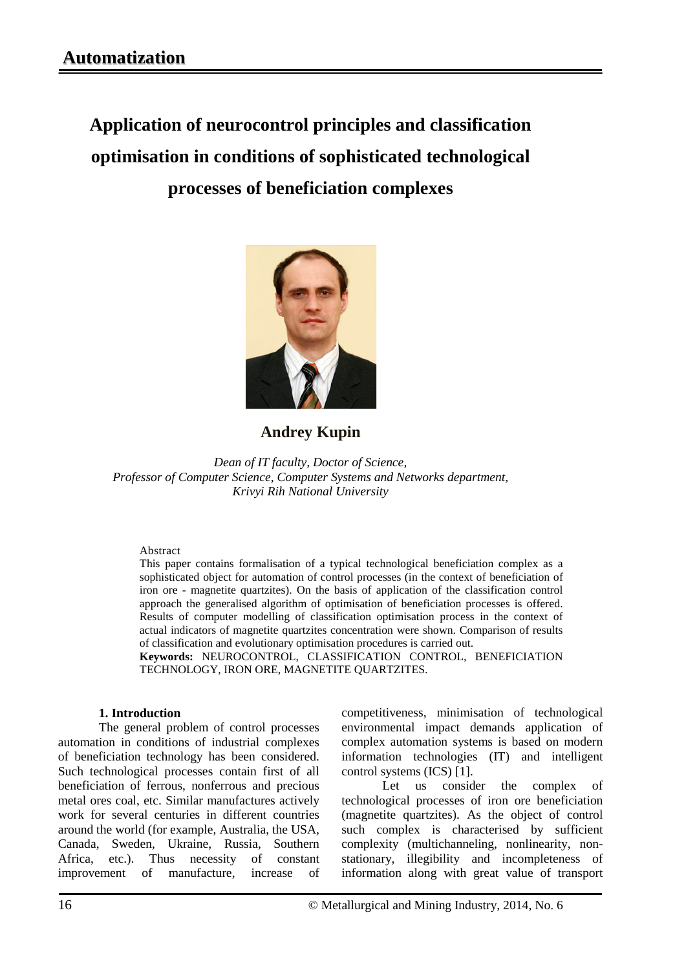# **Application of neurocontrol principles and classification optimisation in conditions of sophisticated technological processes of beneficiation complexes**



# **Andrey Kupin**

*Dean of IT faculty, Doctor of Science, Professor of Computer Science, Computer Systems and Networks department, Krivyi Rih National University*

#### Abstract

This paper contains formalisation of a typical technological beneficiation complex as a sophisticated object for automation of control processes (in the context of beneficiation of iron ore - magnetite quartzites). On the basis of application of the classification control approach the generalised algorithm of optimisation of beneficiation processes is offered. Results of computer modelling of classification optimisation process in the context of actual indicators of magnetite quartzites concentration were shown. Comparison of results of classification and evolutionary optimisation procedures is carried out.

**Keywords:** NEUROCONTROL, CLASSIFICATION CONTROL, BENEFICIATION TECHNOLOGY, IRON ORE, MAGNETITE QUARTZITES.

#### **1. Introduction**

The general problem of control processes automation in conditions of industrial complexes of beneficiation technology has been considered. Such technological processes contain first of all beneficiation of ferrous, nonferrous and precious metal ores coal, etc. Similar manufactures actively work for several centuries in different countries around the world (for example, Australia, the USA, Canada, Sweden, Ukraine, Russia, Southern Africa, etc.). Thus necessity of constant improvement of manufacture, increase of competitiveness, minimisation of technological environmental impact demands application of complex automation systems is based on modern information technologies (IT) and intelligent control systems (ICS) [1].

Let us consider the complex of technological processes of iron ore beneficiation (magnetite quartzites). As the object of control such complex is characterised by sufficient complexity (multichanneling, nonlinearity, nonstationary, illegibility and incompleteness of information along with great value of transport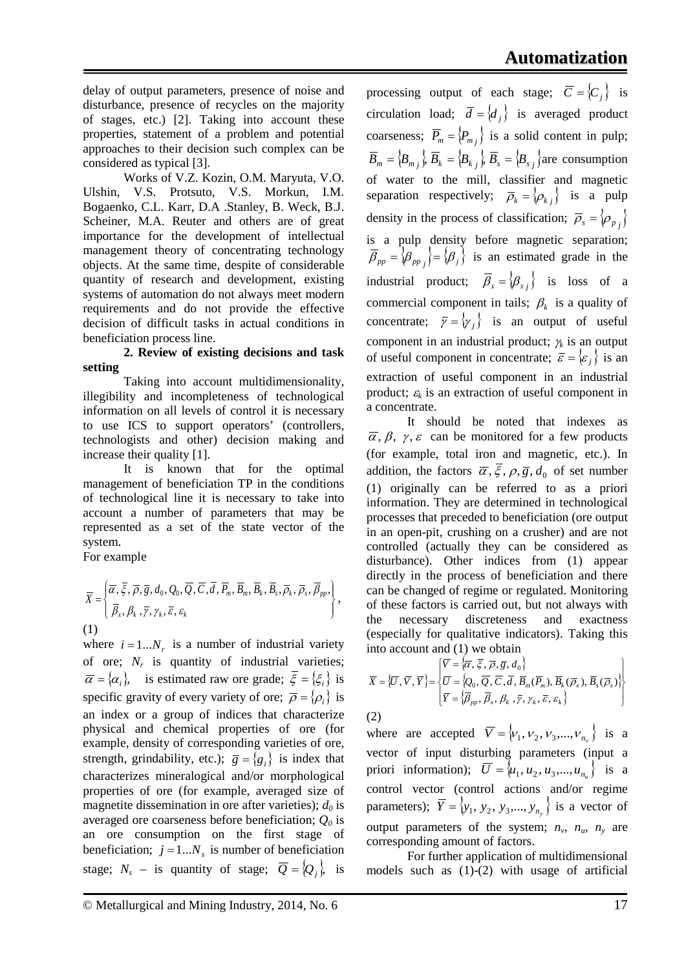delay of output parameters, presence of noise and disturbance, presence of recycles on the majority of stages, etc.) [2]. Taking into account these properties, statement of a problem and potential approaches to their decision such complex can be considered as typical [3].

Works of V.Z. Kozin, O.M. Maryuta, V.O. Ulshin, V.S. Protsuto, V.S. Morkun, I.M. Bogaenko, C.L. Karr, D.A .Stanley, B. Weck, B.J. Scheiner, M.A. Reuter and others are of great importance for the development of intellectual management theory of concentrating technology objects. At the same time, despite of considerable quantity of research and development, existing systems of automation do not always meet modern requirements and do not provide the effective decision of difficult tasks in actual conditions in beneficiation process line.

### **2. Review of existing decisions and task setting**

Taking into account multidimensionality, illegibility and incompleteness of technological information on all levels of control it is necessary to use ICS to support operators' (controllers, technologists and other) decision making and increase their quality [1].

It is known that for the optimal management of beneficiation TP in the conditions of technological line it is necessary to take into account a number of parameters that may be represented as a set of the state vector of the system.

For example

$$
\overline{X} = \left\{ \begin{aligned}\n\overline{\alpha}, \overline{\xi}, \overline{\rho}, \overline{g}, d_0, Q_0, \overline{Q}, \overline{C}, \overline{d}, \overline{P}_m, \overline{B}_m, \overline{B}_k, \overline{B}_s, \overline{\rho}_k, \overline{\rho}_s, \overline{\beta}_{pp}, \\
\overline{\beta}_x, \beta_k, \overline{\gamma}, \gamma_k, \overline{\varepsilon}, \varepsilon_k\n\end{aligned} \right\},
$$
\n(1)

where  $i = 1...N_r$  is a number of industrial variety of ore;  $N_r$  is quantity of industrial varieties;  ${\overline{\alpha}} = {\alpha_i}$ , is estimated raw ore grade;  ${\overline{\xi}} = {\xi_i}$  is specific gravity of every variety of ore;  $\overline{\rho} = {\rho_i}$  is an index or a group of indices that characterize physical and chemical properties of ore (for example, density of corresponding varieties of ore, strength, grindability, etc.);  $\overline{g} = \{g_i\}$  is index that characterizes mineralogical and/or morphological properties of ore (for example, averaged size of magnetite dissemination in ore after varieties);  $d_0$  is averaged ore coarseness before beneficiation;  $Q_0$  is an ore consumption on the first stage of beneficiation;  $j = 1...N_s$  is number of beneficiation stage;  $N_s$  – is quantity of stage;  $\overline{Q} = \{Q_j\}$ , is processing output of each stage;  $\overline{C} = \{C_i\}$  is circulation load;  $\overline{d} = \{d_i\}$  is averaged product coarseness;  $\overline{P}_m = \langle P_{m_j} \rangle$  is a solid content in pulp;  $B_m = \{B_{m_j}\}\, B_k = \{B_{k_j}\}\, B_s = \{B_{s_j}\}\,$  are consumption of water to the mill, classifier and magnetic separation respectively;  $\overline{\rho}_k = \{\rho_{k_j}\}\$  is a pulp density in the process of classification;  $\overline{\rho}_s = \langle \rho_{p_i} \rangle$ is a pulp density before magnetic separation;  ${\overline{\beta}}_{pp} = {\beta}_{pp} {\overline{\beta}} = {\beta}_{j} {\overline{\beta}}$  is an estimated grade in the industrial product;  $\beta_x = \{\beta_{x_j}\}\$ is loss of a commercial component in tails;  $\beta_k$  is a quality of concentrate;  $\overline{\gamma} = \{\gamma_i\}$  is an output of useful component in an industrial product;  $\gamma_k$  is an output of useful component in concentrate;  $\overline{\varepsilon} = {\varepsilon_i}$  is an extraction of useful component in an industrial product;  $\varepsilon_k$  is an extraction of useful component in a concentrate.

It should be noted that indexes as  $\overline{\alpha}$ ,  $\beta$ ,  $\gamma$ ,  $\varepsilon$  can be monitored for a few products (for example, total iron and magnetic, etc.). In addition, the factors  $\overline{\alpha}$ ,  $\overline{\xi}$ ,  $\rho$ ,  $\overline{g}$ ,  $d_0$  of set number (1) originally can be referred to as a priori information. They are determined in technological processes that preceded to beneficiation (ore output in an open-pit, crushing on a crusher) and are not controlled (actually they can be considered as disturbance). Other indices from (1) appear directly in the process of beneficiation and there can be changed of regime or regulated. Monitoring of these factors is carried out, but not always with the necessary discreteness and exactness (especially for qualitative indicators). Taking this into account and (1) we obtain

$$
\overline{X} = \{\overline{U}, \overline{V}, \overline{Y}\} = \begin{cases} \overline{V} = \{\overline{\alpha}, \overline{\xi}, \overline{\rho}, \overline{g}, d_0\} \\ \overline{U} = \{Q_0, \overline{Q}, \overline{C}, \overline{d}, \overline{B}_m(\overline{P}_m), \overline{B}_k(\overline{\rho}_k), \overline{B}_s(\overline{\rho}_s)\} \\ \overline{Y} = \{\overline{\beta}_{pp}, \overline{\beta}_x, \beta_k, \overline{y}, \gamma_k, \overline{\epsilon}, \varepsilon_k\} \end{cases}
$$

(2)

where are accepted  $\overline{V} = \{v_1, v_2, v_3, ..., v_{n_v}\}$  is a vector of input disturbing parameters (input a priori information);  $\overline{U} = \{u_1, u_2, u_3, \dots, u_n\}$  is a control vector (control actions and/or regime parameters);  $\overline{Y} = \{y_1, y_2, y_3, \ldots, y_{n_v}\}$  is a vector of output parameters of the system;  $n_v$ ,  $n_w$ ,  $n_v$  are corresponding amount of factors.

For further application of multidimensional models such as (1)-(2) with usage of artificial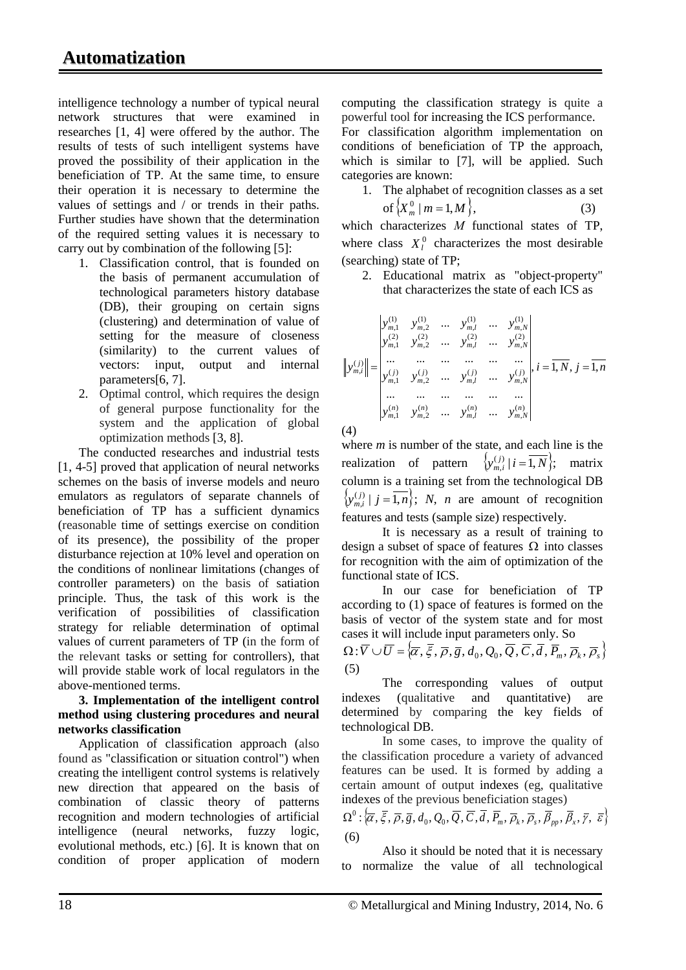intelligence technology a number of typical neural network structures that were examined in researches [1, 4] were offered by the author. The results of tests of such intelligent systems have proved the possibility of their application in the beneficiation of TP. At the same time, to ensure their operation it is necessary to determine the values of settings and / or trends in their paths. Further studies have shown that the determination of the required setting values it is necessary to carry out by combination of the following [5]:

- 1. Classification control, that is founded on the basis of permanent accumulation of technological parameters history database (DB), their grouping on certain signs (clustering) and determination of value of setting for the measure of closeness (similarity) to the current values of vectors: input, output and internal parameters[6, 7].
- 2. Optimal control, which requires the design of general purpose functionality for the system and the application of global optimization methods [3, 8].

The conducted researches and industrial tests [1, 4-5] proved that application of neural networks schemes on the basis of inverse models and neuro emulators as regulators of separate channels of beneficiation of TP has a sufficient dynamics (reasonable time of settings exercise on condition of its presence), the possibility of the proper disturbance rejection at 10% level and operation on the conditions of nonlinear limitations (changes of controller parameters) on the basis of satiation principle. Thus, the task of this work is the verification of possibilities of classification strategy for reliable determination of optimal values of current parameters of TP (in the form of the relevant tasks or setting for controllers), that will provide stable work of local regulators in the above-mentioned terms.

#### **3. Implementation of the intelligent control method using clustering procedures and neural networks classification**

Application of classification approach (also found as "classification or situation control") when creating the intelligent control systems is relatively new direction that appeared on the basis of combination of classic theory of patterns recognition and modern technologies of artificial intelligence (neural networks, fuzzy logic, evolutional methods, etc.) [6]. It is known that on condition of proper application of modern

computing the classification strategy is quite a powerful tool for increasing the ICS performance. For classification algorithm implementation on conditions of beneficiation of TP the approach, which is similar to [7], will be applied. Such categories are known:

1. The alphabet of recognition classes as a set of  $\{X_m^0 | m = 1, M\}$ , (3)

which characterizes *M* functional states of TP, where class  $X_l^0$  characterizes the most desirable (searching) state of TP;

2. Educational matrix as "object-property" that characterizes the state of each ICS as

$$
\left\| y_{m,i}^{(1)} \right\| = \begin{vmatrix} y_{m,1}^{(1)} & y_{m,2}^{(1)} & \dots & y_{m,l}^{(1)} & \dots & y_{m,N}^{(1)} \\ y_{m,1}^{(2)} & y_{m,2}^{(2)} & \dots & y_{m,l}^{(2)} & \dots & y_{m,N}^{(2)} \\ \dots & \dots & \dots & \dots & \dots & \dots \\ y_{m,i}^{(j)} & y_{m,2}^{(j)} & \dots & y_{m,l}^{(j)} & \dots & y_{m,N}^{(j)} \\ \dots & \dots & \dots & \dots & \dots & \dots \\ y_{m,1}^{(n)} & y_{m,2}^{(n)} & \dots & y_{m,l}^{(n)} & \dots & y_{m,N}^{(n)} \end{vmatrix}, i = \overline{1, N}, j = \overline{1, n}
$$

(4)

where *m* is number of the state, and each line is the realization of pattern  $\{y_{m,i}^{(j)} | i = \overline{1,N}\}\;$  matrix column is a training set from the technological DB  ${x_{m,i}^{(j)} | j = \overline{1,n}}$ ; *N*, *n* are amount of recognition features and tests (sample size) respectively.

It is necessary as a result of training to design a subset of space of features  $\Omega$  into classes for recognition with the aim of optimization of the functional state of ICS.

In our case for beneficiation of TP according to (1) space of features is formed on the basis of vector of the system state and for most cases it will include input parameters only. So

 $\Omega: \overline{V} \cup \overline{U} = \{ \overline{\alpha}, \overline{\xi}, \overline{\rho}, \overline{g}, d_0, Q_0, \overline{Q}, \overline{C}, \overline{d}, \overline{P_m}, \overline{\rho}_k, \overline{\rho}_s \}$ (5)

The corresponding values of output indexes (qualitative and quantitative) are determined by comparing the key fields of technological DB.

In some cases, to improve the quality of the classification procedure a variety of advanced features can be used. It is formed by adding a certain amount of output indexes (eg, qualitative indexes of the previous beneficiation stages)

 $\Omega^0$  :  $\{\overline{\alpha}, \overline{\xi}, \overline{\rho}, \overline{g}, d_0, Q_0, \overline{Q}, \overline{C}, \overline{d}, \overline{P}_m, \overline{\rho}_k, \overline{\rho}_s, \overline{\beta}_m, \overline{\beta}_r, \overline{\gamma}, \overline{\epsilon}\}$ (6)

Also it should be noted that it is necessary to normalize the value of all technological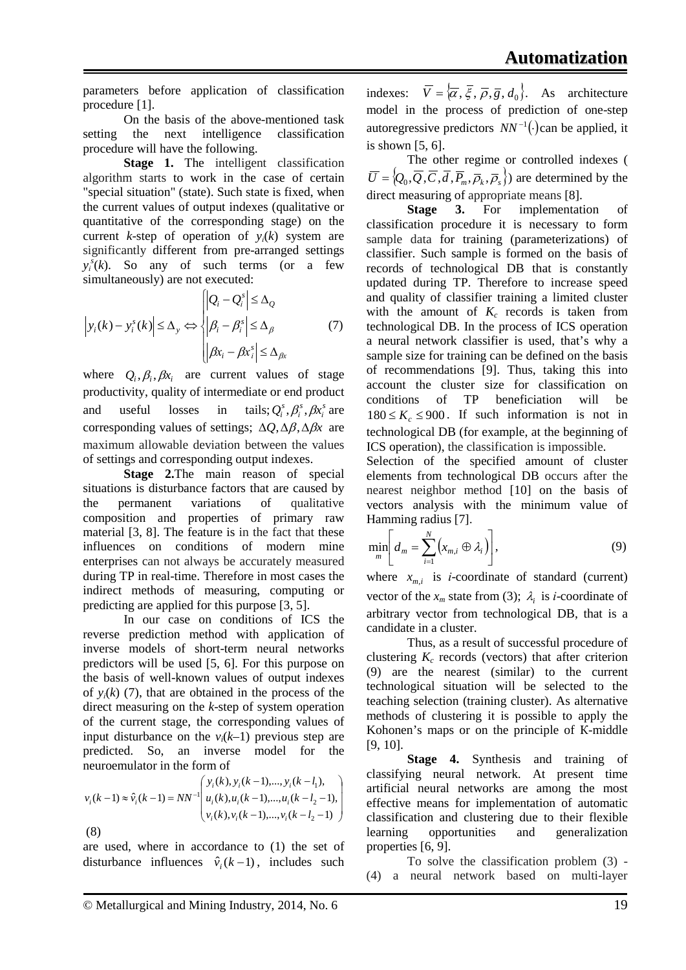parameters before application of classification procedure [1].

On the basis of the above-mentioned task setting the next intelligence classification procedure will have the following.

**Stage 1.** The intelligent classification algorithm starts to work in the case of certain "special situation" (state). Such state is fixed, when the current values of output indexes (qualitative or quantitative of the corresponding stage) on the current *k*-step of operation of  $y_i(k)$  system are significantly different from pre-arranged settings  $y_i^s(k)$ . So any of such terms (or a few simultaneously) are not executed:

$$
\left| y_i(k) - y_i^s(k) \right| \leq \Delta_y \Leftrightarrow \begin{cases} \left| Q_i - Q_i^s \right| \leq \Delta_Q \\ \left| \beta_i - \beta_i^s \right| \leq \Delta_\beta \\ \left| \beta x_i - \beta x_i^s \right| \leq \Delta_{\beta x} \end{cases} \tag{7}
$$

where  $Q_i$ ,  $\beta_i$ ,  $\beta x_i$  are current values of stage productivity, quality of intermediate or end product and useful losses in tails;  $Q_i^s$ ,  $\beta_i^s$ ,  $\beta x_i^s$  are corresponding values of settings; ∆*Q*,∆β,∆β*x* are maximum allowable deviation between the values of settings and corresponding output indexes.

**Stage 2.**The main reason of special situations is disturbance factors that are caused by the permanent variations of qualitative composition and properties of primary raw material [3, 8]. The feature is in the fact that these influences on conditions of modern mine enterprises can not always be accurately measured during TP in real-time. Therefore in most cases the indirect methods of measuring, computing or predicting are applied for this purpose [3, 5].

In our case on conditions of ICS the reverse prediction method with application of inverse models of short-term neural networks predictors will be used [5, 6]. For this purpose on the basis of well-known values of output indexes of  $y_i(k)$  (7), that are obtained in the process of the direct measuring on the *k*-step of system operation of the current stage, the corresponding values of input disturbance on the  $v_i(k-1)$  previous step are predicted. So, an inverse model for the neuroemulator in the form of

$$
v_i(k-1) \approx \hat{v}_i(k-1) = NN^{-1} \begin{pmatrix} y_i(k), y_i(k-1), \dots, y_i(k-l_1), \\ u_i(k), u_i(k-1), \dots, u_i(k-l_2-1), \\ v_i(k), v_i(k-1), \dots, v_i(k-l_2-1) \end{pmatrix}
$$
\n(8)

are used, where in accordance to (1) the set of disturbance influences  $\hat{v}_i(k-1)$ , includes such indexes:  $\overline{V} = {\overline{\alpha}, \overline{\xi}, \overline{\rho}, \overline{g}, d_0}.$  As architecture model in the process of prediction of one-step autoregressive predictors  $NN^{-1}$ . can be applied, it is shown [5, 6].

The other regime or controlled indexes (  $\overline{U} = \{Q_0, \overline{Q}, \overline{C}, \overline{d}, \overline{P_m}, \overline{p_k}, \overline{p_s}\}$  are determined by the direct measuring of appropriate means [8].

**Stage 3.** For implementation of classification procedure it is necessary to form sample data for training (parameterizations) of classifier. Such sample is formed on the basis of records of technological DB that is constantly updated during TP. Therefore to increase speed and quality of classifier training a limited cluster with the amount of  $K_c$  records is taken from technological DB. In the process of ICS operation a neural network classifier is used, that's why a sample size for training can be defined on the basis of recommendations [9]. Thus, taking this into account the cluster size for classification on conditions of TP beneficiation will be  $180 \leq K_c \leq 900$ . If such information is not in technological DB (for example, at the beginning of ICS operation), the classification is impossible.

Selection of the specified amount of cluster elements from technological DB occurs after the nearest neighbor method [10] on the basis of vectors analysis with the minimum value of Hamming radius [7].

$$
\min_{m} \left[ d_m = \sum_{i=1}^{N} \left( x_{m,i} \oplus \lambda_i \right) \right],\tag{9}
$$

where  $x_{m,i}$  is *i*-coordinate of standard (current) vector of the  $x_m$  state from (3);  $\lambda_i$  is *i*-coordinate of arbitrary vector from technological DB, that is a candidate in a cluster.

Thus, as a result of successful procedure of clustering  $K_c$  records (vectors) that after criterion (9) are the nearest (similar) to the current technological situation will be selected to the teaching selection (training cluster). As alternative methods of clustering it is possible to apply the Kohonen's maps or on the principle of К-middle [9, 10].

**Stage 4.** Synthesis and training of classifying neural network. At present time artificial neural networks are among the most effective means for implementation of automatic classification and clustering due to their flexible learning opportunities and generalization properties [6, 9].

To solve the classification problem (3) - (4) a neural network based on multi-layer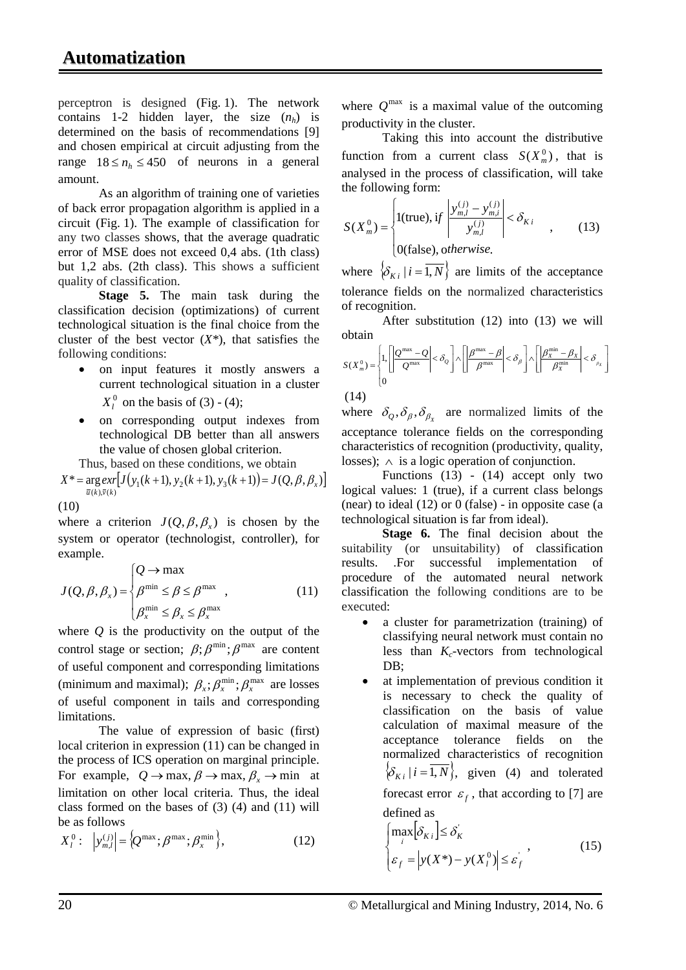perceptron is designed (Fig. 1). The network contains 1-2 hidden layer, the size  $(n_h)$  is determined on the basis of recommendations [9] and chosen empirical at circuit adjusting from the range  $18 \le n_h \le 450$  of neurons in a general amount.

As an algorithm of training one of varieties of back error propagation algorithm is applied in a circuit (Fig. 1). The example of classification for any two classes shows, that the average quadratic error of MSE does not exceed 0,4 abs. (1th class) but 1,2 abs. (2th class). This shows a sufficient quality of classification.

**Stage 5.** The main task during the classification decision (optimizations) of current technological situation is the final choice from the cluster of the best vector  $(X^*)$ , that satisfies the following conditions:

- on input features it mostly answers a current technological situation in a cluster  $X_l^0$  on the basis of (3) - (4);
- on corresponding output indexes from technological DB better than all answers the value of chosen global criterion.

Thus, based on these conditions, we obtain  $X^* = \arg \exp \{ J(y_1(k+1), y_2(k+1), y_3(k+1)) = J(Q, \beta, \beta_x) \}$ 

(10)

where a criterion  $J(Q, \beta, \beta)$  is chosen by the system or operator (technologist, controller), for example.

$$
J(Q, \beta, \beta_x) = \begin{cases} Q \to \max \\ \beta^{\min} \le \beta \le \beta^{\max} \\ \beta_x^{\min} \le \beta_x \le \beta_x^{\max} \end{cases}
$$
 (11)

where *Q* is the productivity on the output of the control stage or section;  $\beta$ ;  $\beta$ <sup>min</sup>;  $\beta$ <sup>max</sup> are content of useful component and corresponding limitations (minimum and maximal);  $\beta_x$ ;  $\beta_x^{\min}$ ;  $\beta_x^{\max}$  are losses of useful component in tails and corresponding limitations.

The value of expression of basic (first) local criterion in expression (11) can be changed in the process of ICS operation on marginal principle. For example,  $Q \rightarrow \max$ ,  $\beta \rightarrow \max$ ,  $\beta$ <sub>x</sub>  $\rightarrow \min$  at limitation on other local criteria. Thus, the ideal class formed on the bases of (3) (4) and (11) will be as follows

$$
X_l^0: \left| y_{m,l}^{(j)} \right| = \left\{ Q^{\max}; \beta^{\max}; \beta_x^{\min} \right\},\tag{12}
$$

where  $Q^{\text{max}}$  is a maximal value of the outcoming productivity in the cluster.

Taking this into account the distributive function from a current class  $S(X_m^0)$ , that is analysed in the process of classification, will take the following form:

$$
S(X_m^0) = \begin{cases} 1(\text{true}), & \text{if } \left| \frac{y_{m,l}^{(j)} - y_{m,i}^{(j)}}{y_{m,l}^{(j)}} \right| < \delta_{Ki} \\ 0 & \text{otherwise.} \end{cases} \tag{13}
$$

where  $\{\delta_{K_i} | i = \overline{1, N}\}\$  are limits of the acceptance tolerance fields on the normalized characteristics of recognition.

After substitution (12) into (13) we will obtain

$$
S(X_m^0) = \begin{cases} 1, & \left| \frac{Q^{\max} - Q}{Q^{\max}} \right| < \delta_Q \end{cases} \wedge \left| \frac{\beta^{\max} - \beta}{\beta^{\max}} \right| < \delta_\beta \right] \wedge \left| \frac{\beta^{\min}_X - \beta_X}{\beta^{\min}_X} \right| < \delta_{\beta_X} \right]
$$

(14)

where  $\delta_{\rho}, \delta_{\beta}, \delta_{\beta_{\nu}}$  are normalized limits of the acceptance tolerance fields on the corresponding characteristics of recognition (productivity, quality, losses);  $\land$  is a logic operation of conjunction.

Functions (13) - (14) accept only two logical values: 1 (true), if a current class belongs (near) to ideal  $(12)$  or 0 (false) - in opposite case (a technological situation is far from ideal).

**Stage 6.** The final decision about the suitability (or unsuitability) of classification results. .For successful implementation of procedure of the automated neural network classification the following conditions are to be executed:

- a cluster for parametrization (training) of classifying neural network must contain no less than  $K_c$ -vectors from technological DB:
- at implementation of previous condition it is necessary to check the quality of classification on the basis of value calculation of maximal measure of the acceptance tolerance fields on the normalized characteristics of recognition  $\{\delta_{K i} | i = \overline{1, N}\}\,$ , given (4) and tolerated forecast error  $\varepsilon_f$ , that according to [7] are defined

$$
\begin{cases}\n\max_{i} \left[ \delta_{K_{i}} \right] \leq \delta_{K} \\
\varepsilon_{f} = \left| y(X^{*}) - y(X_{i}^{0}) \right| \leq \varepsilon_{f} \n\end{cases} (15)
$$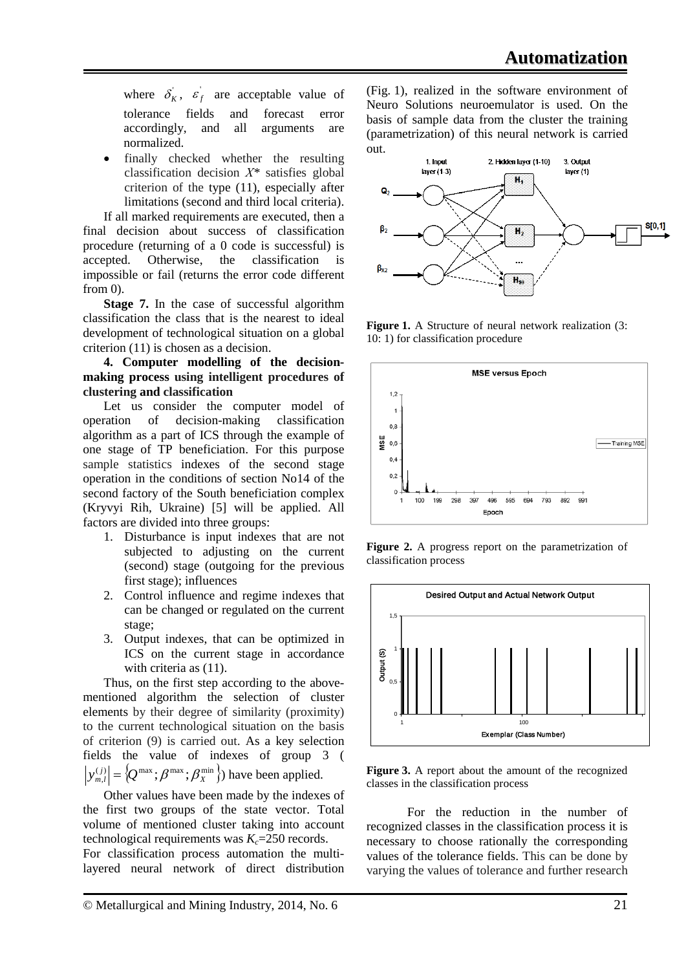where  $\delta_K$ ,  $\varepsilon_f$  are acceptable value of tolerance fields and forecast error accordingly, and all arguments are normalized.

finally checked whether the resulting classification decision *Х\** satisfies global criterion of the type (11), especially after limitations (second and third local criteria).

If all marked requirements are executed, then a final decision about success of classification procedure (returning of a 0 code is successful) is accepted. Otherwise, the classification is impossible or fail (returns the error code different from 0).

**Stage 7.** In the case of successful algorithm classification the class that is the nearest to ideal development of technological situation on a global criterion (11) is chosen as a decision.

### **4. Computer modelling of the decisionmaking process using intelligent procedures of clustering and classification**

Let us consider the computer model of operation of decision-making classification algorithm as a part of ICS through the example of one stage of TP beneficiation. For this purpose sample statistics indexes of the second stage operation in the conditions of section No14 of the second factory of the South beneficiation complex (Kryvyi Rih, Ukraine) [5] will be applied. All factors are divided into three groups:

- 1. Disturbance is input indexes that are not subjected to adjusting on the current (second) stage (outgoing for the previous first stage); influences
- 2. Control influence and regime indexes that can be changed or regulated on the current stage;
- 3. Output indexes, that can be optimized in ICS on the current stage in accordance with criteria as  $(11)$ .

Thus, on the first step according to the abovementioned algorithm the selection of cluster elements by their degree of similarity (proximity) to the current technological situation on the basis of criterion (9) is carried out. As a key selection fields the value of indexes of group 3 (  $|y_{m,l}^{(j)}| = \left\langle Q^{\max}; \beta^{\max}; \beta_X^{\min} \right\rangle$  have been applied.

Other values have been made by the indexes of the first two groups of the state vector. Total volume of mentioned cluster taking into account technological requirements was  $K_c = 250$  records.

For classification process automation the multilayered neural network of direct distribution (Fig. 1), realized in the software environment of Neuro Solutions neuroemulator is used. On the basis of sample data from the cluster the training (parametrization) of this neural network is carried out.



**Figure 1.** A Structure of neural network realization (3: 10: 1) for classification procedure



**Figure 2.** A progress report on the parametrization of classification process



**Figure 3.** A report about the amount of the recognized classes in the classification process

For the reduction in the number of recognized classes in the classification process it is necessary to choose rationally the corresponding values of the tolerance fields. This can be done by varying the values of tolerance and further research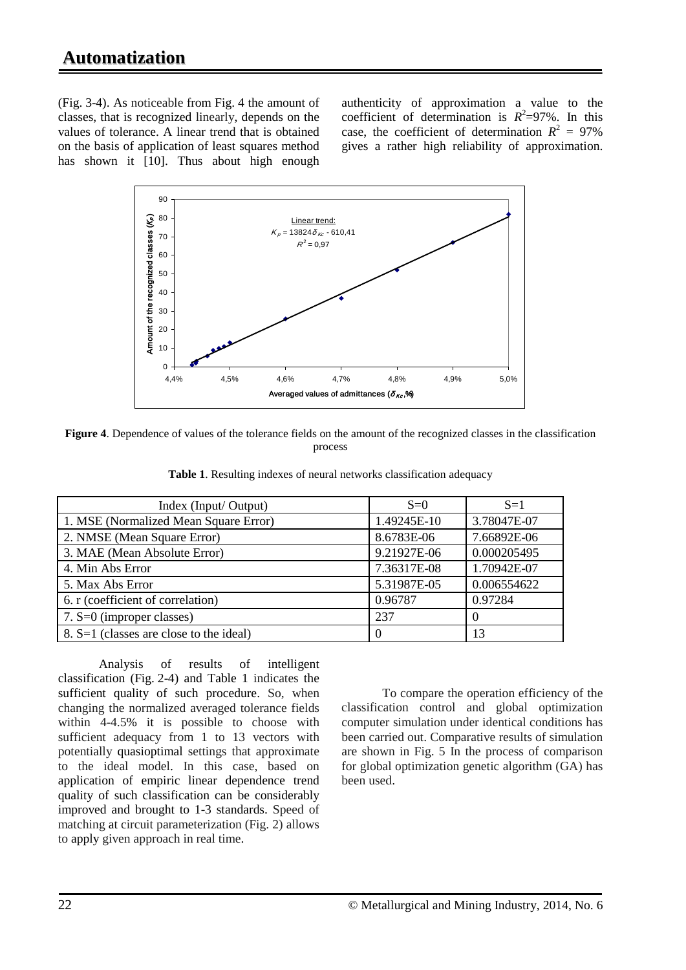(Fig. 3-4). As noticeable from Fig. 4 the amount of classes, that is recognized linearly, depends on the values of tolerance. A linear trend that is obtained on the basis of application of least squares method has shown it [10]. Thus about high enough

authenticity of approximation a value to the coefficient of determination is  $R^2 = 97\%$ . In this case, the coefficient of determination  $R^2 = 97\%$ gives a rather high reliability of approximation.



**Figure 4**. Dependence of values of the tolerance fields on the amount of the recognized classes in the classification process

| Index (Input/ Output)                   | $S=0$       | $S=1$       |
|-----------------------------------------|-------------|-------------|
| 1. MSE (Normalized Mean Square Error)   | 1.49245E-10 | 3.78047E-07 |
| 2. NMSE (Mean Square Error)             | 8.6783E-06  | 7.66892E-06 |
| 3. MAE (Mean Absolute Error)            | 9.21927E-06 | 0.000205495 |
| 4. Min Abs Error                        | 7.36317E-08 | 1.70942E-07 |
| 5. Max Abs Error                        | 5.31987E-05 | 0.006554622 |
| 6. r (coefficient of correlation)       | 0.96787     | 0.97284     |
| 7. S=0 (improper classes)               | 237         | $\Omega$    |
| 8. S=1 (classes are close to the ideal) | $\theta$    | 13          |

**Table 1**. Resulting indexes of neural networks classification adequacy

Analysis of results of intelligent classification (Fig. 2-4) and Table 1 indicates the sufficient quality of such procedure. So, when changing the normalized averaged tolerance fields within 4-4.5% it is possible to choose with sufficient adequacy from 1 to 13 vectors with potentially quasioptimal settings that approximate to the ideal model. In this case, based on application of empiric linear dependence trend quality of such classification can be considerably improved and brought to 1-3 standards. Speed of matching at circuit parameterization (Fig. 2) allows to apply given approach in real time.

To compare the operation efficiency of the classification control and global optimization computer simulation under identical conditions has been carried out. Comparative results of simulation are shown in Fig. 5 In the process of comparison for global optimization genetic algorithm (GA) has been used.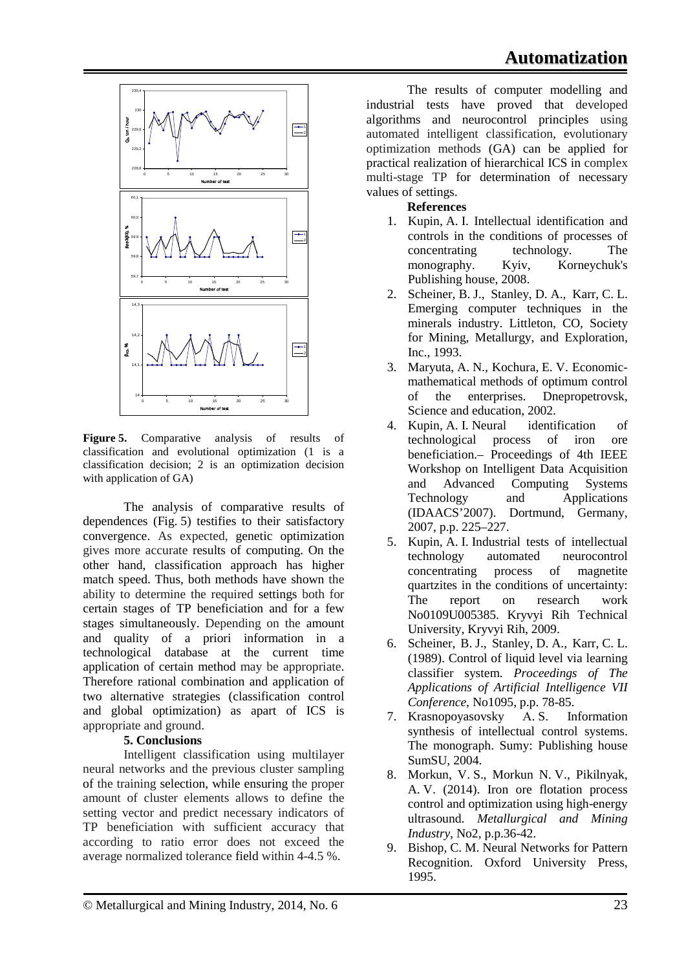

**Figure 5.** Comparative analysis of results of classification and evolutional optimization (1 is a classification decision; 2 is an optimization decision with application of GA)

The analysis of comparative results of dependences (Fig. 5) testifies to their satisfactory convergence. As expected, genetic optimization gives more accurate results of computing. On the other hand, classification approach has higher match speed. Thus, both methods have shown the ability to determine the required settings both for certain stages of TP beneficiation and for a few stages simultaneously. Depending on the amount and quality of a priori information in a technological database at the current time application of certain method may be appropriate. Therefore rational combination and application of two alternative strategies (classification control and global optimization) as apart of ICS is appropriate and ground.

## **5. Conclusions**

Intelligent classification using multilayer neural networks and the previous cluster sampling of the training selection, while ensuring the proper amount of cluster elements allows to define the setting vector and predict necessary indicators of TP beneficiation with sufficient accuracy that according to ratio error does not exceed the average normalized tolerance field within 4-4.5 %.

The results of computer modelling and industrial tests have proved that developed algorithms and neurocontrol principles using automated intelligent classification, evolutionary optimization methods (GA) can be applied for practical realization of hierarchical ICS in complex multi-stage TP for determination of necessary values of settings.

# **References**

- 1. Kupin, A. I. Intellectual identification and controls in the conditions of processes of concentrating technology. The monography. Kyiv, Korneychuk's Publishing house, 2008.
- 2. Scheiner, B. J., Stanley, D. A., Karr, C. L. Emerging computer techniques in the minerals industry. Littleton, CO, Society for Mining, Metallurgy, and Exploration, Inc., 1993.
- 3. Maryuta, A. N., Kochura, E. V. Economicmathematical methods of optimum control of the enterprises. Dnepropetrovsk, Science and education, 2002.
- 4. Kupin, A. I. Neural identification of technological process of iron ore beneficiation.– Proceedings of 4th IEEE Workshop on Intelligent Data Acquisition and Advanced Computing Systems<br>Technology and Applications Technology and Applications (IDAACS'2007). Dortmund, Germany, 2007, p.p. 225–227.
- 5. Kupin, A. I. Industrial tests of intellectual technology automated neurocontrol concentrating process of magnetite quartzites in the conditions of uncertainty: The report on research work No0109U005385. Kryvyi Rih Technical University, Kryvyi Rih, 2009.
- 6. Scheiner, B. J., Stanley, D. A., Karr, C. L. (1989). Control of liquid level via learning classifier system. *Proceedings of The Applications of Artificial Intelligence VII Conference*, No1095, p.p. 78-85.
- 7. Krasnopoyasovsky А. S. Information synthesis of intellectual control systems. The monograph. Sumy: Publishing house SumSU, 2004.
- 8. Morkun, V. S., Morkun N. V., Pikilnyak, A. V. (2014). Iron ore flotation process control and optimization using high-energy ultrasound. *Metallurgical and Mining Industry,* No2, p.p.36-42.
- 9. Bishop, C. M. Neural Networks for Pattern Recognition. Oxford University Press, 1995.